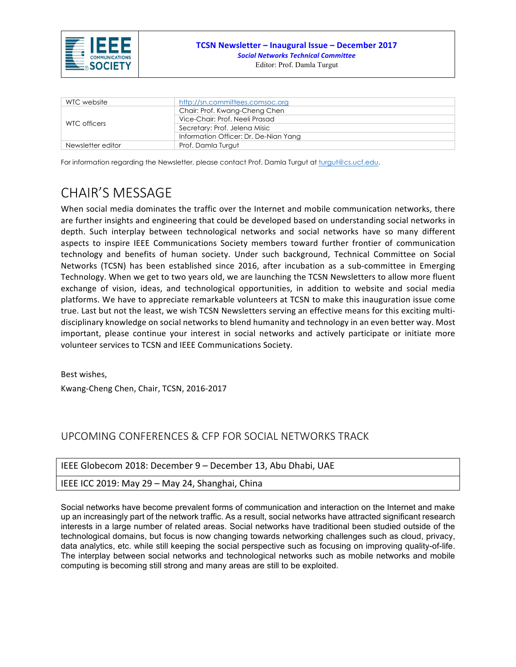

| WTC website       | http://sn.committees.comsoc.org       |  |  |
|-------------------|---------------------------------------|--|--|
| WTC officers      | Chair: Prof. Kwang-Cheng Chen         |  |  |
|                   | Vice-Chair: Prof. Neeli Prasad        |  |  |
|                   | Secretary: Prof. Jelena Misic         |  |  |
|                   | Information Officer: Dr. De-Nian Yang |  |  |
| Newsletter editor | Prof. Damla Turgut                    |  |  |

For information regarding the Newsletter, please contact Prof. Damla Turgut at turgut@cs.ucf.edu.

## CHAIR'S MESSAGE

When social media dominates the traffic over the Internet and mobile communication networks, there are further insights and engineering that could be developed based on understanding social networks in depth. Such interplay between technological networks and social networks have so many different aspects to inspire IEEE Communications Society members toward further frontier of communication technology and benefits of human society. Under such background, Technical Committee on Social Networks (TCSN) has been established since 2016, after incubation as a sub-committee in Emerging Technology. When we get to two years old, we are launching the TCSN Newsletters to allow more fluent exchange of vision, ideas, and technological opportunities, in addition to website and social media platforms. We have to appreciate remarkable volunteers at TCSN to make this inauguration issue come true. Last but not the least, we wish TCSN Newsletters serving an effective means for this exciting multidisciplinary knowledge on social networks to blend humanity and technology in an even better way. Most important, please continue your interest in social networks and actively participate or initiate more volunteer services to TCSN and IEEE Communications Society.

Best wishes, Kwang-Cheng Chen, Chair, TCSN, 2016-2017

### UPCOMING CONFERENCES & CFP FOR SOCIAL NETWORKS TRACK

|  | IEEE Globecom 2018: December 9 - December 13, Abu Dhabi, UAE |
|--|--------------------------------------------------------------|
|  |                                                              |

#### IEEE ICC 2019: May 29 - May 24, Shanghai, China

Social networks have become prevalent forms of communication and interaction on the Internet and make up an increasingly part of the network traffic. As a result, social networks have attracted significant research interests in a large number of related areas. Social networks have traditional been studied outside of the technological domains, but focus is now changing towards networking challenges such as cloud, privacy, data analytics, etc. while still keeping the social perspective such as focusing on improving quality-of-life. The interplay between social networks and technological networks such as mobile networks and mobile computing is becoming still strong and many areas are still to be exploited.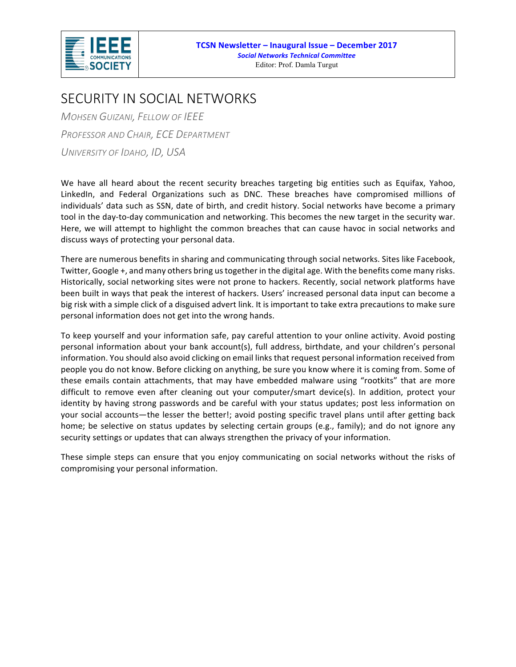

### SECURITY IN SOCIAL NETWORKS

*MOHSEN GUIZANI, FELLOW OF IEEE PROFESSOR AND CHAIR, ECE DEPARTMENT UNIVERSITY OF IDAHO, ID, USA*

We have all heard about the recent security breaches targeting big entities such as Equifax, Yahoo, LinkedIn, and Federal Organizations such as DNC. These breaches have compromised millions of individuals' data such as SSN, date of birth, and credit history. Social networks have become a primary tool in the day-to-day communication and networking. This becomes the new target in the security war. Here, we will attempt to highlight the common breaches that can cause havoc in social networks and discuss ways of protecting your personal data.

There are numerous benefits in sharing and communicating through social networks. Sites like Facebook, Twitter, Google +, and many others bring us together in the digital age. With the benefits come many risks. Historically, social networking sites were not prone to hackers. Recently, social network platforms have been built in ways that peak the interest of hackers. Users' increased personal data input can become a big risk with a simple click of a disguised advert link. It is important to take extra precautions to make sure personal information does not get into the wrong hands.

To keep yourself and your information safe, pay careful attention to your online activity. Avoid posting personal information about your bank account(s), full address, birthdate, and your children's personal information. You should also avoid clicking on email links that request personal information received from people you do not know. Before clicking on anything, be sure you know where it is coming from. Some of these emails contain attachments, that may have embedded malware using "rootkits" that are more difficult to remove even after cleaning out your computer/smart device(s). In addition, protect your identity by having strong passwords and be careful with your status updates; post less information on your social accounts—the lesser the better!; avoid posting specific travel plans until after getting back home; be selective on status updates by selecting certain groups (e.g., family); and do not ignore any security settings or updates that can always strengthen the privacy of your information.

These simple steps can ensure that you enjoy communicating on social networks without the risks of compromising your personal information.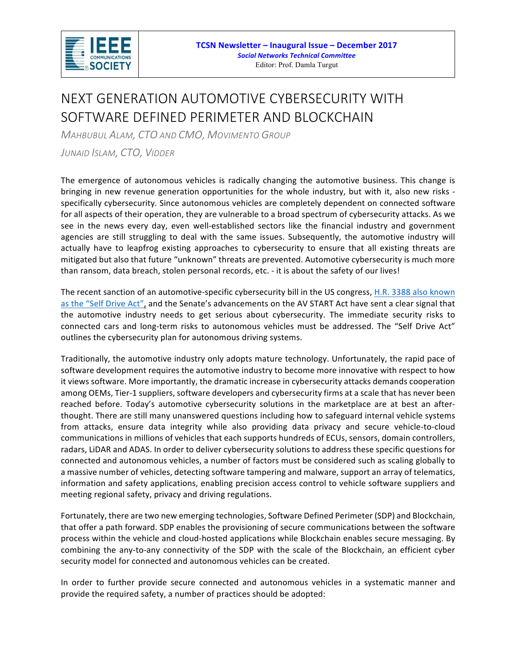

# NEXT GENERATION AUTOMOTIVE CYBERSECURITY WITH SOFTWARE DEFINED PERIMETER AND BLOCKCHAIN

*MAHBUBUL ALAM, CTO AND CMO, MOVIMENTO GROUP*

*JUNAID ISLAM, CTO, VIDDER*

The emergence of autonomous vehicles is radically changing the automotive business. This change is bringing in new revenue generation opportunities for the whole industry, but with it, also new risks specifically cybersecurity. Since autonomous vehicles are completely dependent on connected software for all aspects of their operation, they are vulnerable to a broad spectrum of cybersecurity attacks. As we see in the news every day, even well-established sectors like the financial industry and government agencies are still struggling to deal with the same issues. Subsequently, the automotive industry will actually have to leapfrog existing approaches to cybersecurity to ensure that all existing threats are mitigated but also that future "unknown" threats are prevented. Automotive cybersecurity is much more than ransom, data breach, stolen personal records, etc. - it is about the safety of our lives!

The recent sanction of an automotive-specific cybersecurity bill in the US congress, H.R. 3388 also known as the "Self Drive Act", and the Senate's advancements on the AV START Act have sent a clear signal that the automotive industry needs to get serious about cybersecurity. The immediate security risks to connected cars and long-term risks to autonomous vehicles must be addressed. The "Self Drive Act" outlines the cybersecurity plan for autonomous driving systems.

Traditionally, the automotive industry only adopts mature technology. Unfortunately, the rapid pace of software development requires the automotive industry to become more innovative with respect to how it views software. More importantly, the dramatic increase in cybersecurity attacks demands cooperation among OEMs, Tier-1 suppliers, software developers and cybersecurity firms at a scale that has never been reached before. Today's automotive cybersecurity solutions in the marketplace are at best an afterthought. There are still many unanswered questions including how to safeguard internal vehicle systems from attacks, ensure data integrity while also providing data privacy and secure vehicle-to-cloud communications in millions of vehicles that each supports hundreds of ECUs, sensors, domain controllers, radars, LiDAR and ADAS. In order to deliver cybersecurity solutions to address these specific questions for connected and autonomous vehicles, a number of factors must be considered such as scaling globally to a massive number of vehicles, detecting software tampering and malware, support an array of telematics, information and safety applications, enabling precision access control to vehicle software suppliers and meeting regional safety, privacy and driving regulations.

Fortunately, there are two new emerging technologies, Software Defined Perimeter (SDP) and Blockchain, that offer a path forward. SDP enables the provisioning of secure communications between the software process within the vehicle and cloud-hosted applications while Blockchain enables secure messaging. By combining the any-to-any connectivity of the SDP with the scale of the Blockchain, an efficient cyber security model for connected and autonomous vehicles can be created.

In order to further provide secure connected and autonomous vehicles in a systematic manner and provide the required safety, a number of practices should be adopted: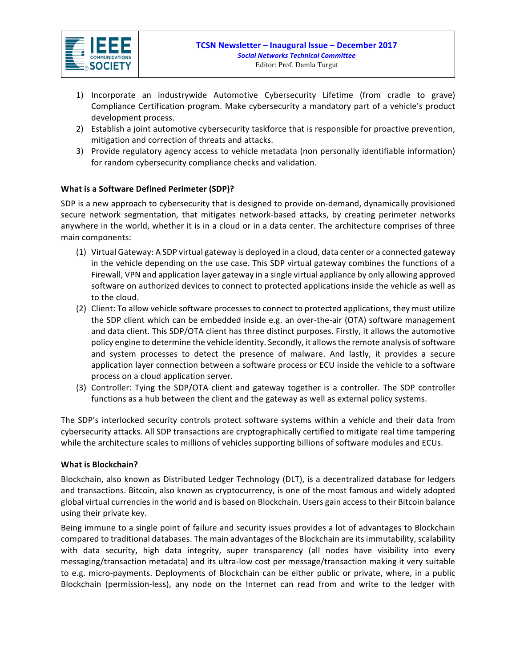

- 1) Incorporate an industrywide Automotive Cybersecurity Lifetime (from cradle to grave) Compliance Certification program. Make cybersecurity a mandatory part of a vehicle's product development process.
- 2) Establish a joint automotive cybersecurity taskforce that is responsible for proactive prevention, mitigation and correction of threats and attacks.
- 3) Provide regulatory agency access to vehicle metadata (non personally identifiable information) for random cybersecurity compliance checks and validation.

#### **What is a Software Defined Perimeter (SDP)?**

SDP is a new approach to cybersecurity that is designed to provide on-demand, dynamically provisioned secure network segmentation, that mitigates network-based attacks, by creating perimeter networks anywhere in the world, whether it is in a cloud or in a data center. The architecture comprises of three main components:

- (1) Virtual Gateway: A SDP virtual gateway is deployed in a cloud, data center or a connected gateway in the vehicle depending on the use case. This SDP virtual gateway combines the functions of a Firewall, VPN and application layer gateway in a single virtual appliance by only allowing approved software on authorized devices to connect to protected applications inside the vehicle as well as to the cloud.
- (2) Client: To allow vehicle software processes to connect to protected applications, they must utilize the SDP client which can be embedded inside e.g. an over-the-air (OTA) software management and data client. This SDP/OTA client has three distinct purposes. Firstly, it allows the automotive policy engine to determine the vehicle identity. Secondly, it allows the remote analysis of software and system processes to detect the presence of malware. And lastly, it provides a secure application layer connection between a software process or ECU inside the vehicle to a software process on a cloud application server.
- (3) Controller: Tying the SDP/OTA client and gateway together is a controller. The SDP controller functions as a hub between the client and the gateway as well as external policy systems.

The SDP's interlocked security controls protect software systems within a vehicle and their data from cybersecurity attacks. All SDP transactions are cryptographically certified to mitigate real time tampering while the architecture scales to millions of vehicles supporting billions of software modules and ECUs.

#### **What is Blockchain?**

Blockchain, also known as Distributed Ledger Technology (DLT), is a decentralized database for ledgers and transactions. Bitcoin, also known as cryptocurrency, is one of the most famous and widely adopted global virtual currencies in the world and is based on Blockchain. Users gain access to their Bitcoin balance using their private key.

Being immune to a single point of failure and security issues provides a lot of advantages to Blockchain compared to traditional databases. The main advantages of the Blockchain are its immutability, scalability with data security, high data integrity, super transparency (all nodes have visibility into every messaging/transaction metadata) and its ultra-low cost per message/transaction making it very suitable to e.g. micro-payments. Deployments of Blockchain can be either public or private, where, in a public Blockchain (permission-less), any node on the Internet can read from and write to the ledger with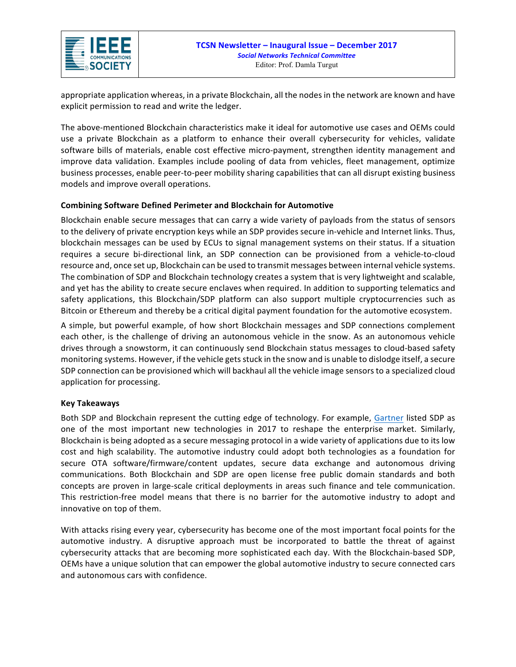

appropriate application whereas, in a private Blockchain, all the nodes in the network are known and have explicit permission to read and write the ledger.

The above-mentioned Blockchain characteristics make it ideal for automotive use cases and OEMs could use a private Blockchain as a platform to enhance their overall cybersecurity for vehicles, validate software bills of materials, enable cost effective micro-payment, strengthen identity management and improve data validation. Examples include pooling of data from vehicles, fleet management, optimize business processes, enable peer-to-peer mobility sharing capabilities that can all disrupt existing business models and improve overall operations.

#### **Combining Software Defined Perimeter and Blockchain for Automotive**

Blockchain enable secure messages that can carry a wide variety of payloads from the status of sensors to the delivery of private encryption keys while an SDP provides secure in-vehicle and Internet links. Thus, blockchain messages can be used by ECUs to signal management systems on their status. If a situation requires a secure bi-directional link, an SDP connection can be provisioned from a vehicle-to-cloud resource and, once set up, Blockchain can be used to transmit messages between internal vehicle systems. The combination of SDP and Blockchain technology creates a system that is very lightweight and scalable, and yet has the ability to create secure enclaves when required. In addition to supporting telematics and safety applications, this Blockchain/SDP platform can also support multiple cryptocurrencies such as Bitcoin or Ethereum and thereby be a critical digital payment foundation for the automotive ecosystem.

A simple, but powerful example, of how short Blockchain messages and SDP connections complement each other, is the challenge of driving an autonomous vehicle in the snow. As an autonomous vehicle drives through a snowstorm, it can continuously send Blockchain status messages to cloud-based safety monitoring systems. However, if the vehicle gets stuck in the snow and is unable to dislodge itself, a secure SDP connection can be provisioned which will backhaul all the vehicle image sensors to a specialized cloud application for processing.

#### **Key Takeaways**

Both SDP and Blockchain represent the cutting edge of technology. For example, Gartner listed SDP as one of the most important new technologies in 2017 to reshape the enterprise market. Similarly, Blockchain is being adopted as a secure messaging protocol in a wide variety of applications due to its low cost and high scalability. The automotive industry could adopt both technologies as a foundation for secure OTA software/firmware/content updates, secure data exchange and autonomous driving communications. Both Blockchain and SDP are open license free public domain standards and both concepts are proven in large-scale critical deployments in areas such finance and tele communication. This restriction-free model means that there is no barrier for the automotive industry to adopt and innovative on top of them.

With attacks rising every year, cybersecurity has become one of the most important focal points for the automotive industry. A disruptive approach must be incorporated to battle the threat of against cybersecurity attacks that are becoming more sophisticated each day. With the Blockchain-based SDP, OEMs have a unique solution that can empower the global automotive industry to secure connected cars and autonomous cars with confidence.